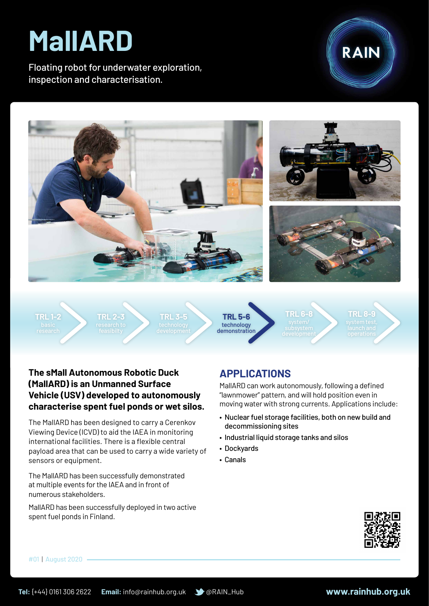# **MallARD**

Floating robot for underwater exploration, inspection and characterisation.





**TRL 1-2**

**TRL 2-3**

**TRL 3-5**

technology demonstration **TRL 5-6**

**TRL 6-8**

**TRL 8-9**

## **The sMall Autonomous Robotic Duck (MallARD) is an Unmanned Surface Vehicle (USV) developed to autonomously characterise spent fuel ponds or wet silos.**

The MallARD has been designed to carry a Cerenkov Viewing Device (ICVD) to aid the IAEA in monitoring international facilities. There is a flexible central payload area that can be used to carry a wide variety of sensors or equipment.

The MallARD has been successfully demonstrated at multiple events for the IAEA and in front of numerous stakeholders.

MallARD has been successfully deployed in two active spent fuel ponds in Finland.

## **APPLICATIONS**

MallARD can work autonomously, following a defined "lawnmower" pattern, and will hold position even in moving water with strong currents. Applications include:

- Nuclear fuel storage facilities, both on new build and decommissioning sites
- • Industrial liquid storage tanks and silos
- • Dockyards
- • Canals



#01 | August 2020